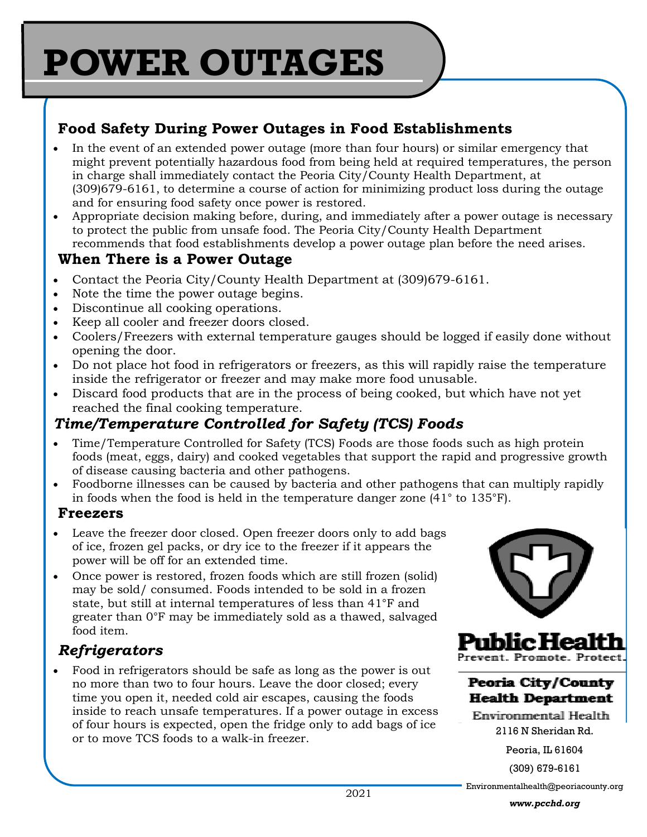# **POWER OUTAGES**

### **Food Safety During Power Outages in Food Establishments**

- In the event of an extended power outage (more than four hours) or similar emergency that might prevent potentially hazardous food from being held at required temperatures, the person in charge shall immediately contact the Peoria City/County Health Department, at (309)679-6161, to determine a course of action for minimizing product loss during the outage and for ensuring food safety once power is restored.
- Appropriate decision making before, during, and immediately after a power outage is necessary to protect the public from unsafe food. The Peoria City/County Health Department recommends that food establishments develop a power outage plan before the need arises.

#### **When There is a Power Outage**

- Contact the Peoria City/County Health Department at (309)679-6161.
- Note the time the power outage begins.
- Discontinue all cooking operations.
- Keep all cooler and freezer doors closed.
- Coolers/Freezers with external temperature gauges should be logged if easily done without opening the door.
- Do not place hot food in refrigerators or freezers, as this will rapidly raise the temperature inside the refrigerator or freezer and may make more food unusable.
- Discard food products that are in the process of being cooked, but which have not yet reached the final cooking temperature.

## *Time/Temperature Controlled for Safety (TCS) Foods*

- Time/Temperature Controlled for Safety (TCS) Foods are those foods such as high protein foods (meat, eggs, dairy) and cooked vegetables that support the rapid and progressive growth of disease causing bacteria and other pathogens.
- Foodborne illnesses can be caused by bacteria and other pathogens that can multiply rapidly in foods when the food is held in the temperature danger zone (41° to 135°F).

#### **Freezers**

- Leave the freezer door closed. Open freezer doors only to add bags of ice, frozen gel packs, or dry ice to the freezer if it appears the power will be off for an extended time.
- Once power is restored, frozen foods which are still frozen (solid) may be sold/ consumed. Foods intended to be sold in a frozen state, but still at internal temperatures of less than 41°F and greater than 0°F may be immediately sold as a thawed, salvaged food item.

## *Refrigerators*

• Food in refrigerators should be safe as long as the power is out no more than two to four hours. Leave the door closed; every time you open it, needed cold air escapes, causing the foods inside to reach unsafe temperatures. If a power outage in excess of four hours is expected, open the fridge only to add bags of ice or to move TCS foods to a walk-in freezer.



Prevent Promote P

Peoria City/County **Health Department** 

Environmental Health 2116 N Sheridan Rd.

Peoria, IL 61604

(309) 679-6161

Environmentalhealth@peoriacounty.org